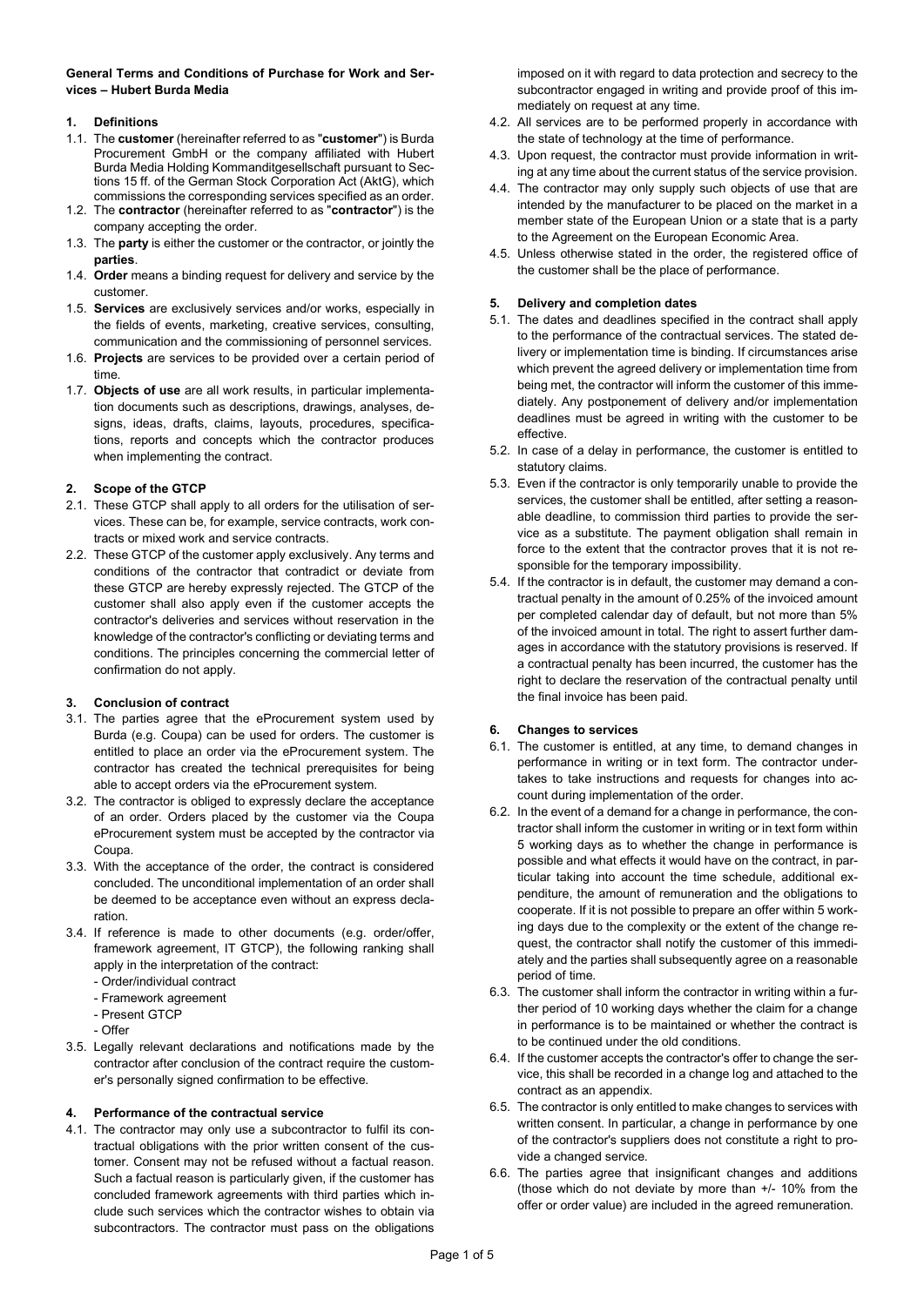General Terms and Conditions of Purchase for Work and Services – Hubert Burda Media

# 1. Definitions

- 1.1. The customer (hereinafter referred to as "customer") is Burda Procurement GmbH or the company affiliated with Hubert Burda Media Holding Kommanditgesellschaft pursuant to Sections 15 ff. of the German Stock Corporation Act (AktG), which commissions the corresponding services specified as an order.
- 1.2. The contractor (hereinafter referred to as "contractor") is the company accepting the order.
- 1.3. The party is either the customer or the contractor, or jointly the parties.
- 1.4. Order means a binding request for delivery and service by the customer.
- 1.5. Services are exclusively services and/or works, especially in the fields of events, marketing, creative services, consulting, communication and the commissioning of personnel services.
- 1.6. Projects are services to be provided over a certain period of time.
- 1.7. Objects of use are all work results, in particular implementation documents such as descriptions, drawings, analyses, designs, ideas, drafts, claims, layouts, procedures, specifications, reports and concepts which the contractor produces when implementing the contract.

# 2. Scope of the GTCP

- 2.1. These GTCP shall apply to all orders for the utilisation of services. These can be, for example, service contracts, work contracts or mixed work and service contracts.
- 2.2. These GTCP of the customer apply exclusively. Any terms and conditions of the contractor that contradict or deviate from these GTCP are hereby expressly rejected. The GTCP of the customer shall also apply even if the customer accepts the contractor's deliveries and services without reservation in the knowledge of the contractor's conflicting or deviating terms and conditions. The principles concerning the commercial letter of confirmation do not apply.

# 3. Conclusion of contract

- 3.1. The parties agree that the eProcurement system used by Burda (e.g. Coupa) can be used for orders. The customer is entitled to place an order via the eProcurement system. The contractor has created the technical prerequisites for being able to accept orders via the eProcurement system.
- 3.2. The contractor is obliged to expressly declare the acceptance of an order. Orders placed by the customer via the Coupa eProcurement system must be accepted by the contractor via Coupa.
- 3.3. With the acceptance of the order, the contract is considered concluded. The unconditional implementation of an order shall be deemed to be acceptance even without an express declaration.
- 3.4. If reference is made to other documents (e.g. order/offer, framework agreement, IT GTCP), the following ranking shall apply in the interpretation of the contract:
	- Order/individual contract
	- Framework agreement
	- Present GTCP
	- Offer
- 3.5. Legally relevant declarations and notifications made by the contractor after conclusion of the contract require the customer's personally signed confirmation to be effective.

# 4. Performance of the contractual service

4.1. The contractor may only use a subcontractor to fulfil its contractual obligations with the prior written consent of the customer. Consent may not be refused without a factual reason. Such a factual reason is particularly given, if the customer has concluded framework agreements with third parties which include such services which the contractor wishes to obtain via subcontractors. The contractor must pass on the obligations

imposed on it with regard to data protection and secrecy to the subcontractor engaged in writing and provide proof of this immediately on request at any time.

- 4.2. All services are to be performed properly in accordance with the state of technology at the time of performance.
- 4.3. Upon request, the contractor must provide information in writing at any time about the current status of the service provision.
- 4.4. The contractor may only supply such objects of use that are intended by the manufacturer to be placed on the market in a member state of the European Union or a state that is a party to the Agreement on the European Economic Area.
- 4.5. Unless otherwise stated in the order, the registered office of the customer shall be the place of performance.

# 5. Delivery and completion dates

- 5.1. The dates and deadlines specified in the contract shall apply to the performance of the contractual services. The stated delivery or implementation time is binding. If circumstances arise which prevent the agreed delivery or implementation time from being met, the contractor will inform the customer of this immediately. Any postponement of delivery and/or implementation deadlines must be agreed in writing with the customer to be effective.
- 5.2. In case of a delay in performance, the customer is entitled to statutory claims.
- 5.3. Even if the contractor is only temporarily unable to provide the services, the customer shall be entitled, after setting a reasonable deadline, to commission third parties to provide the service as a substitute. The payment obligation shall remain in force to the extent that the contractor proves that it is not responsible for the temporary impossibility.
- 5.4. If the contractor is in default, the customer may demand a contractual penalty in the amount of 0.25% of the invoiced amount per completed calendar day of default, but not more than 5% of the invoiced amount in total. The right to assert further damages in accordance with the statutory provisions is reserved. If a contractual penalty has been incurred, the customer has the right to declare the reservation of the contractual penalty until the final invoice has been paid.

# 6. Changes to services

- 6.1. The customer is entitled, at any time, to demand changes in performance in writing or in text form. The contractor undertakes to take instructions and requests for changes into account during implementation of the order.
- 6.2. In the event of a demand for a change in performance, the contractor shall inform the customer in writing or in text form within 5 working days as to whether the change in performance is possible and what effects it would have on the contract, in particular taking into account the time schedule, additional expenditure, the amount of remuneration and the obligations to cooperate. If it is not possible to prepare an offer within 5 working days due to the complexity or the extent of the change request, the contractor shall notify the customer of this immediately and the parties shall subsequently agree on a reasonable period of time.
- 6.3. The customer shall inform the contractor in writing within a further period of 10 working days whether the claim for a change in performance is to be maintained or whether the contract is to be continued under the old conditions.
- 6.4. If the customer accepts the contractor's offer to change the service, this shall be recorded in a change log and attached to the contract as an appendix.
- 6.5. The contractor is only entitled to make changes to services with written consent. In particular, a change in performance by one of the contractor's suppliers does not constitute a right to provide a changed service.
- 6.6. The parties agree that insignificant changes and additions (those which do not deviate by more than +/- 10% from the offer or order value) are included in the agreed remuneration.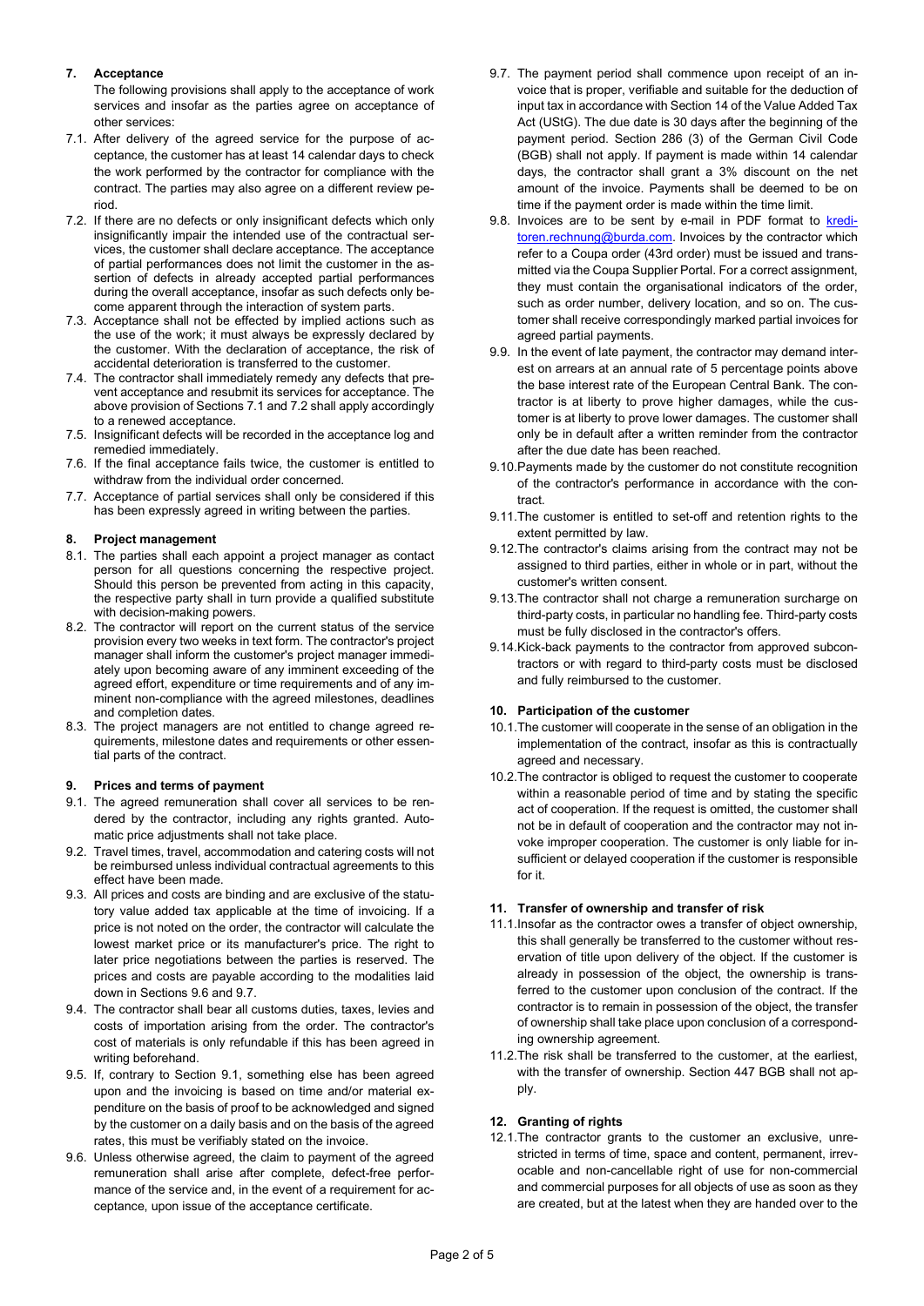# 7. Acceptance

The following provisions shall apply to the acceptance of work services and insofar as the parties agree on acceptance of other services:

- 7.1. After delivery of the agreed service for the purpose of acceptance, the customer has at least 14 calendar days to check the work performed by the contractor for compliance with the contract. The parties may also agree on a different review period.
- 7.2. If there are no defects or only insignificant defects which only insignificantly impair the intended use of the contractual services, the customer shall declare acceptance. The acceptance of partial performances does not limit the customer in the assertion of defects in already accepted partial performances during the overall acceptance, insofar as such defects only become apparent through the interaction of system parts.
- 7.3. Acceptance shall not be effected by implied actions such as the use of the work; it must always be expressly declared by the customer. With the declaration of acceptance, the risk of accidental deterioration is transferred to the customer.
- 7.4. The contractor shall immediately remedy any defects that prevent acceptance and resubmit its services for acceptance. The above provision of Sections 7.1 and 7.2 shall apply accordingly to a renewed acceptance.
- 7.5. Insignificant defects will be recorded in the acceptance log and remedied immediately.
- 7.6. If the final acceptance fails twice, the customer is entitled to withdraw from the individual order concerned.
- 7.7. Acceptance of partial services shall only be considered if this has been expressly agreed in writing between the parties.

# 8. Project management

- 8.1. The parties shall each appoint a project manager as contact person for all questions concerning the respective project. Should this person be prevented from acting in this capacity, the respective party shall in turn provide a qualified substitute with decision-making powers.
- 8.2. The contractor will report on the current status of the service provision every two weeks in text form. The contractor's project manager shall inform the customer's project manager immediately upon becoming aware of any imminent exceeding of the agreed effort, expenditure or time requirements and of any imminent non-compliance with the agreed milestones, deadlines and completion dates.
- 8.3. The project managers are not entitled to change agreed requirements, milestone dates and requirements or other essential parts of the contract.

# 9. Prices and terms of payment

- 9.1. The agreed remuneration shall cover all services to be rendered by the contractor, including any rights granted. Automatic price adjustments shall not take place.
- 9.2. Travel times, travel, accommodation and catering costs will not be reimbursed unless individual contractual agreements to this effect have been made.
- 9.3. All prices and costs are binding and are exclusive of the statutory value added tax applicable at the time of invoicing. If a price is not noted on the order, the contractor will calculate the lowest market price or its manufacturer's price. The right to later price negotiations between the parties is reserved. The prices and costs are payable according to the modalities laid down in Sections 9.6 and 9.7.
- 9.4. The contractor shall bear all customs duties, taxes, levies and costs of importation arising from the order. The contractor's cost of materials is only refundable if this has been agreed in writing beforehand.
- 9.5. If, contrary to Section 9.1, something else has been agreed upon and the invoicing is based on time and/or material expenditure on the basis of proof to be acknowledged and signed by the customer on a daily basis and on the basis of the agreed rates, this must be verifiably stated on the invoice.
- 9.6. Unless otherwise agreed, the claim to payment of the agreed remuneration shall arise after complete, defect-free performance of the service and, in the event of a requirement for acceptance, upon issue of the acceptance certificate.
- 9.7. The payment period shall commence upon receipt of an invoice that is proper, verifiable and suitable for the deduction of input tax in accordance with Section 14 of the Value Added Tax Act (UStG). The due date is 30 days after the beginning of the payment period. Section 286 (3) of the German Civil Code (BGB) shall not apply. If payment is made within 14 calendar days, the contractor shall grant a 3% discount on the net amount of the invoice. Payments shall be deemed to be on time if the payment order is made within the time limit.
- 9.8. Invoices are to be sent by e-mail in PDF format to kreditoren.rechnung@burda.com. Invoices by the contractor which refer to a Coupa order (43rd order) must be issued and transmitted via the Coupa Supplier Portal. For a correct assignment, they must contain the organisational indicators of the order, such as order number, delivery location, and so on. The customer shall receive correspondingly marked partial invoices for agreed partial payments.
- 9.9. In the event of late payment, the contractor may demand interest on arrears at an annual rate of 5 percentage points above the base interest rate of the European Central Bank. The contractor is at liberty to prove higher damages, while the customer is at liberty to prove lower damages. The customer shall only be in default after a written reminder from the contractor after the due date has been reached.
- 9.10. Payments made by the customer do not constitute recognition of the contractor's performance in accordance with the contract.
- 9.11. The customer is entitled to set-off and retention rights to the extent permitted by law.
- 9.12. The contractor's claims arising from the contract may not be assigned to third parties, either in whole or in part, without the customer's written consent.
- 9.13. The contractor shall not charge a remuneration surcharge on third-party costs, in particular no handling fee. Third-party costs must be fully disclosed in the contractor's offers.
- 9.14. Kick-back payments to the contractor from approved subcontractors or with regard to third-party costs must be disclosed and fully reimbursed to the customer.

# 10. Participation of the customer

- 10.1. The customer will cooperate in the sense of an obligation in the implementation of the contract, insofar as this is contractually agreed and necessary.
- 10.2. The contractor is obliged to request the customer to cooperate within a reasonable period of time and by stating the specific act of cooperation. If the request is omitted, the customer shall not be in default of cooperation and the contractor may not invoke improper cooperation. The customer is only liable for insufficient or delayed cooperation if the customer is responsible for it.

# 11. Transfer of ownership and transfer of risk

- 11.1. Insofar as the contractor owes a transfer of object ownership, this shall generally be transferred to the customer without reservation of title upon delivery of the object. If the customer is already in possession of the object, the ownership is transferred to the customer upon conclusion of the contract. If the contractor is to remain in possession of the object, the transfer of ownership shall take place upon conclusion of a corresponding ownership agreement.
- 11.2. The risk shall be transferred to the customer, at the earliest, with the transfer of ownership. Section 447 BGB shall not apply.

# 12. Granting of rights

12.1. The contractor grants to the customer an exclusive, unrestricted in terms of time, space and content, permanent, irrevocable and non-cancellable right of use for non-commercial and commercial purposes for all objects of use as soon as they are created, but at the latest when they are handed over to the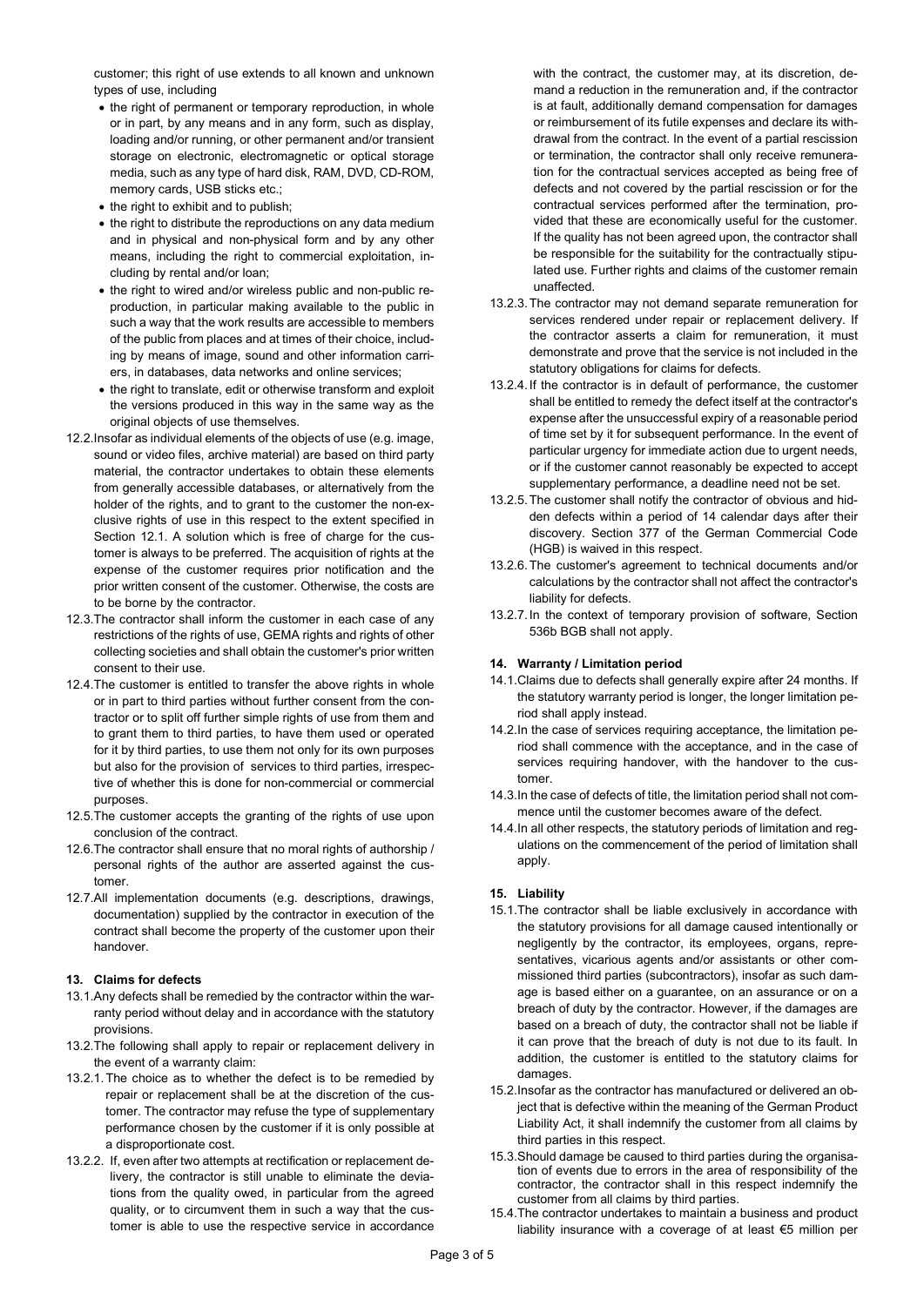customer; this right of use extends to all known and unknown types of use, including

- the right of permanent or temporary reproduction, in whole or in part, by any means and in any form, such as display, loading and/or running, or other permanent and/or transient storage on electronic, electromagnetic or optical storage media, such as any type of hard disk, RAM, DVD, CD-ROM, memory cards, USB sticks etc.;
- the right to exhibit and to publish;
- the right to distribute the reproductions on any data medium and in physical and non-physical form and by any other means, including the right to commercial exploitation, including by rental and/or loan;
- the right to wired and/or wireless public and non-public reproduction, in particular making available to the public in such a way that the work results are accessible to members of the public from places and at times of their choice, including by means of image, sound and other information carriers, in databases, data networks and online services;
- the right to translate, edit or otherwise transform and exploit the versions produced in this way in the same way as the original objects of use themselves.
- 12.2. Insofar as individual elements of the objects of use (e.g. image, sound or video files, archive material) are based on third party material, the contractor undertakes to obtain these elements from generally accessible databases, or alternatively from the holder of the rights, and to grant to the customer the non-exclusive rights of use in this respect to the extent specified in Section 12.1. A solution which is free of charge for the customer is always to be preferred. The acquisition of rights at the expense of the customer requires prior notification and the prior written consent of the customer. Otherwise, the costs are to be borne by the contractor.
- 12.3. The contractor shall inform the customer in each case of any restrictions of the rights of use, GEMA rights and rights of other collecting societies and shall obtain the customer's prior written consent to their use.
- 12.4. The customer is entitled to transfer the above rights in whole or in part to third parties without further consent from the contractor or to split off further simple rights of use from them and to grant them to third parties, to have them used or operated for it by third parties, to use them not only for its own purposes but also for the provision of services to third parties, irrespective of whether this is done for non-commercial or commercial purposes.
- 12.5. The customer accepts the granting of the rights of use upon conclusion of the contract.
- 12.6. The contractor shall ensure that no moral rights of authorship / personal rights of the author are asserted against the customer.
- 12.7. All implementation documents (e.g. descriptions, drawings, documentation) supplied by the contractor in execution of the contract shall become the property of the customer upon their handover.

# 13. Claims for defects

- 13.1. Any defects shall be remedied by the contractor within the warranty period without delay and in accordance with the statutory provisions.
- 13.2. The following shall apply to repair or replacement delivery in the event of a warranty claim:
- 13.2.1. The choice as to whether the defect is to be remedied by repair or replacement shall be at the discretion of the customer. The contractor may refuse the type of supplementary performance chosen by the customer if it is only possible at a disproportionate cost.
- 13.2.2. If, even after two attempts at rectification or replacement delivery, the contractor is still unable to eliminate the deviations from the quality owed, in particular from the agreed quality, or to circumvent them in such a way that the customer is able to use the respective service in accordance

with the contract, the customer may, at its discretion, demand a reduction in the remuneration and, if the contractor is at fault, additionally demand compensation for damages or reimbursement of its futile expenses and declare its withdrawal from the contract. In the event of a partial rescission or termination, the contractor shall only receive remuneration for the contractual services accepted as being free of defects and not covered by the partial rescission or for the contractual services performed after the termination, provided that these are economically useful for the customer. If the quality has not been agreed upon, the contractor shall be responsible for the suitability for the contractually stipulated use. Further rights and claims of the customer remain unaffected.

- 13.2.3. The contractor may not demand separate remuneration for services rendered under repair or replacement delivery. If the contractor asserts a claim for remuneration, it must demonstrate and prove that the service is not included in the statutory obligations for claims for defects.
- 13.2.4. If the contractor is in default of performance, the customer shall be entitled to remedy the defect itself at the contractor's expense after the unsuccessful expiry of a reasonable period of time set by it for subsequent performance. In the event of particular urgency for immediate action due to urgent needs, or if the customer cannot reasonably be expected to accept supplementary performance, a deadline need not be set.
- 13.2.5. The customer shall notify the contractor of obvious and hidden defects within a period of 14 calendar days after their discovery. Section 377 of the German Commercial Code (HGB) is waived in this respect.
- 13.2.6. The customer's agreement to technical documents and/or calculations by the contractor shall not affect the contractor's liability for defects.
- 13.2.7. In the context of temporary provision of software, Section 536b BGB shall not apply.

# 14. Warranty / Limitation period

- 14.1. Claims due to defects shall generally expire after 24 months. If the statutory warranty period is longer, the longer limitation period shall apply instead.
- 14.2. In the case of services requiring acceptance, the limitation period shall commence with the acceptance, and in the case of services requiring handover, with the handover to the customer.
- 14.3. In the case of defects of title, the limitation period shall not commence until the customer becomes aware of the defect.
- 14.4. In all other respects, the statutory periods of limitation and regulations on the commencement of the period of limitation shall apply.

# 15. Liability

- 15.1. The contractor shall be liable exclusively in accordance with the statutory provisions for all damage caused intentionally or negligently by the contractor, its employees, organs, representatives, vicarious agents and/or assistants or other commissioned third parties (subcontractors), insofar as such damage is based either on a guarantee, on an assurance or on a breach of duty by the contractor. However, if the damages are based on a breach of duty, the contractor shall not be liable if it can prove that the breach of duty is not due to its fault. In addition, the customer is entitled to the statutory claims for damages.
- 15.2. Insofar as the contractor has manufactured or delivered an object that is defective within the meaning of the German Product Liability Act, it shall indemnify the customer from all claims by third parties in this respect.
- 15.3. Should damage be caused to third parties during the organisation of events due to errors in the area of responsibility of the contractor, the contractor shall in this respect indemnify the customer from all claims by third parties.
- 15.4. The contractor undertakes to maintain a business and product liability insurance with a coverage of at least €5 million per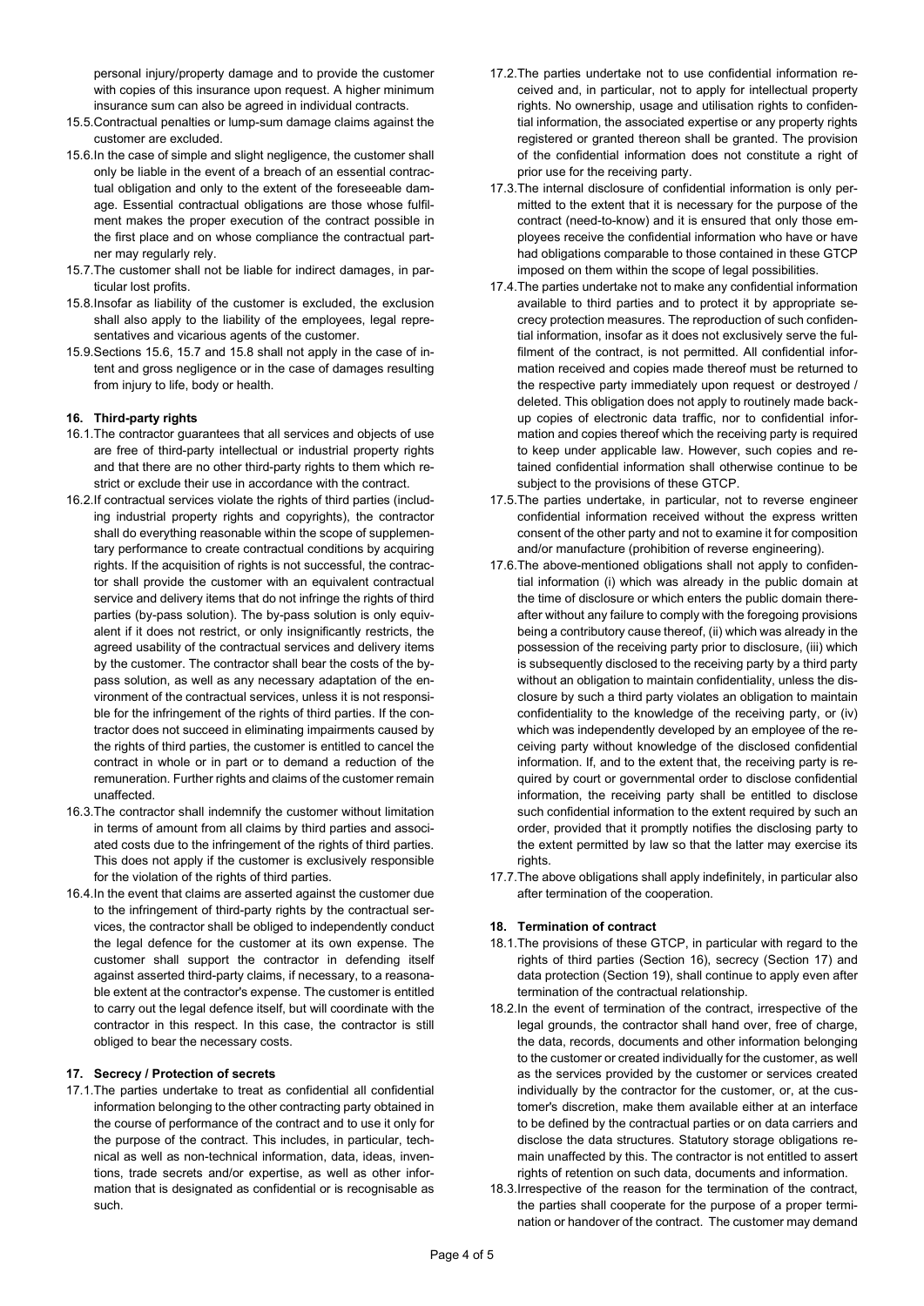personal injury/property damage and to provide the customer with copies of this insurance upon request. A higher minimum insurance sum can also be agreed in individual contracts.

- 15.5. Contractual penalties or lump-sum damage claims against the customer are excluded.
- 15.6. In the case of simple and slight negligence, the customer shall only be liable in the event of a breach of an essential contractual obligation and only to the extent of the foreseeable damage. Essential contractual obligations are those whose fulfilment makes the proper execution of the contract possible in the first place and on whose compliance the contractual partner may regularly rely.
- 15.7. The customer shall not be liable for indirect damages, in particular lost profits.
- 15.8. Insofar as liability of the customer is excluded, the exclusion shall also apply to the liability of the employees, legal representatives and vicarious agents of the customer.
- 15.9. Sections 15.6, 15.7 and 15.8 shall not apply in the case of intent and gross negligence or in the case of damages resulting from injury to life, body or health.

# 16. Third-party rights

- 16.1. The contractor guarantees that all services and objects of use are free of third-party intellectual or industrial property rights and that there are no other third-party rights to them which restrict or exclude their use in accordance with the contract.
- 16.2. If contractual services violate the rights of third parties (including industrial property rights and copyrights), the contractor shall do everything reasonable within the scope of supplementary performance to create contractual conditions by acquiring rights. If the acquisition of rights is not successful, the contractor shall provide the customer with an equivalent contractual service and delivery items that do not infringe the rights of third parties (by-pass solution). The by-pass solution is only equivalent if it does not restrict, or only insignificantly restricts, the agreed usability of the contractual services and delivery items by the customer. The contractor shall bear the costs of the bypass solution, as well as any necessary adaptation of the environment of the contractual services, unless it is not responsible for the infringement of the rights of third parties. If the contractor does not succeed in eliminating impairments caused by the rights of third parties, the customer is entitled to cancel the contract in whole or in part or to demand a reduction of the remuneration. Further rights and claims of the customer remain unaffected.
- 16.3. The contractor shall indemnify the customer without limitation in terms of amount from all claims by third parties and associated costs due to the infringement of the rights of third parties. This does not apply if the customer is exclusively responsible for the violation of the rights of third parties.
- 16.4. In the event that claims are asserted against the customer due to the infringement of third-party rights by the contractual services, the contractor shall be obliged to independently conduct the legal defence for the customer at its own expense. The customer shall support the contractor in defending itself against asserted third-party claims, if necessary, to a reasonable extent at the contractor's expense. The customer is entitled to carry out the legal defence itself, but will coordinate with the contractor in this respect. In this case, the contractor is still obliged to bear the necessary costs.

# 17. Secrecy / Protection of secrets

17.1. The parties undertake to treat as confidential all confidential information belonging to the other contracting party obtained in the course of performance of the contract and to use it only for the purpose of the contract. This includes, in particular, technical as well as non-technical information, data, ideas, inventions, trade secrets and/or expertise, as well as other information that is designated as confidential or is recognisable as such.

- 17.2. The parties undertake not to use confidential information received and, in particular, not to apply for intellectual property rights. No ownership, usage and utilisation rights to confidential information, the associated expertise or any property rights registered or granted thereon shall be granted. The provision of the confidential information does not constitute a right of prior use for the receiving party.
- 17.3. The internal disclosure of confidential information is only permitted to the extent that it is necessary for the purpose of the contract (need-to-know) and it is ensured that only those employees receive the confidential information who have or have had obligations comparable to those contained in these GTCP imposed on them within the scope of legal possibilities.
- 17.4. The parties undertake not to make any confidential information available to third parties and to protect it by appropriate secrecy protection measures. The reproduction of such confidential information, insofar as it does not exclusively serve the fulfilment of the contract, is not permitted. All confidential information received and copies made thereof must be returned to the respective party immediately upon request or destroyed / deleted. This obligation does not apply to routinely made backup copies of electronic data traffic, nor to confidential information and copies thereof which the receiving party is required to keep under applicable law. However, such copies and retained confidential information shall otherwise continue to be subject to the provisions of these GTCP.
- 17.5. The parties undertake, in particular, not to reverse engineer confidential information received without the express written consent of the other party and not to examine it for composition and/or manufacture (prohibition of reverse engineering).
- 17.6. The above-mentioned obligations shall not apply to confidential information (i) which was already in the public domain at the time of disclosure or which enters the public domain thereafter without any failure to comply with the foregoing provisions being a contributory cause thereof, (ii) which was already in the possession of the receiving party prior to disclosure, (iii) which is subsequently disclosed to the receiving party by a third party without an obligation to maintain confidentiality, unless the disclosure by such a third party violates an obligation to maintain confidentiality to the knowledge of the receiving party, or (iv) which was independently developed by an employee of the receiving party without knowledge of the disclosed confidential information. If, and to the extent that, the receiving party is required by court or governmental order to disclose confidential information, the receiving party shall be entitled to disclose such confidential information to the extent required by such an order, provided that it promptly notifies the disclosing party to the extent permitted by law so that the latter may exercise its rights.
- 17.7. The above obligations shall apply indefinitely, in particular also after termination of the cooperation.

# 18. Termination of contract

- 18.1. The provisions of these GTCP, in particular with regard to the rights of third parties (Section 16), secrecy (Section 17) and data protection (Section 19), shall continue to apply even after termination of the contractual relationship.
- 18.2. In the event of termination of the contract, irrespective of the legal grounds, the contractor shall hand over, free of charge, the data, records, documents and other information belonging to the customer or created individually for the customer, as well as the services provided by the customer or services created individually by the contractor for the customer, or, at the customer's discretion, make them available either at an interface to be defined by the contractual parties or on data carriers and disclose the data structures. Statutory storage obligations remain unaffected by this. The contractor is not entitled to assert rights of retention on such data, documents and information.
- 18.3. Irrespective of the reason for the termination of the contract, the parties shall cooperate for the purpose of a proper termination or handover of the contract. The customer may demand